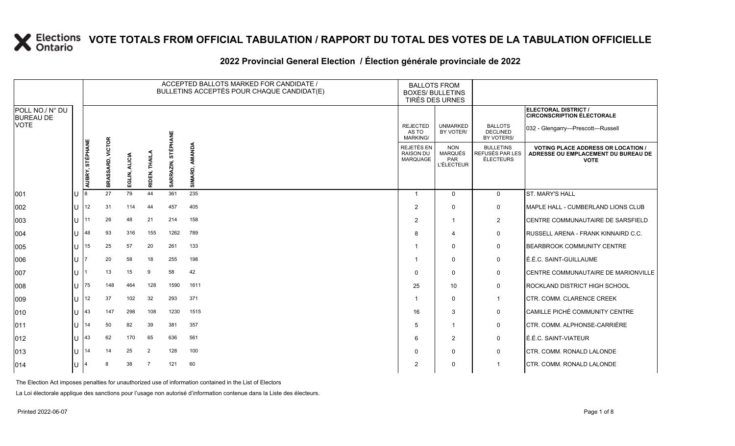#### 2022 Provincial General Election / Election générale provinciale de 2022

|                                     |     |                 |                            |               |                         |                | ACCEPTED BALLOTS MARKED FOR CANDIDATE /<br>BULLETINS ACCEPTÉS POUR CHAQUE CANDIDAT(E) | <b>BALLOTS FROM</b><br><b>BOXES/ BULLETINS</b><br>TIRÉS DES URNES |                                                   |                                                        |                                                                                               |
|-------------------------------------|-----|-----------------|----------------------------|---------------|-------------------------|----------------|---------------------------------------------------------------------------------------|-------------------------------------------------------------------|---------------------------------------------------|--------------------------------------------------------|-----------------------------------------------------------------------------------------------|
| POLL NO./ N° DU<br><b>BUREAU DE</b> |     |                 |                            |               |                         |                |                                                                                       |                                                                   |                                                   |                                                        | <b>ELECTORAL DISTRICT /</b><br><b>CIRCONSCRIPTION ÉLECTORALE</b>                              |
| <b>VOTE</b>                         |     |                 |                            |               |                         | HANE           |                                                                                       | <b>REJECTED</b><br>AS TO<br>MARKING/                              | <b>UNMARKED</b><br>BY VOTER/                      | <b>BALLOTS</b><br><b>DECLINED</b><br><b>BY VOTERS/</b> | 032 - Glengarry-Prescott-Russell                                                              |
|                                     |     | AUBRY, STÉPHANE | <b>VICTOR</b><br>BRASSARD, | EGLIN, ALICIA | <b>THAIL!</b><br>RIDEN, | 5<br>SARRAZIN, | AMANDA<br>SIMARD,                                                                     | <b>REJETÉS EN</b><br><b>RAISON DU</b><br>MARQUAGE                 | <b>NON</b><br>MARQUÉS<br>PAR<br><b>L'ÉLECTEUR</b> | <b>BULLETINS</b><br>REFUSÉS PAR LES<br>ÉLECTEURS       | <b>VOTING PLACE ADDRESS OR LOCATION</b><br>ADRESSE OU EMPLACEMENT DU BUREAU DE<br><b>VOTE</b> |
| 001                                 | ΙU  |                 | 27                         | 79            | 44                      | 361            | 235                                                                                   | -1                                                                | $\Omega$                                          | $\mathbf 0$                                            | ST. MARY'S HALL                                                                               |
| 002                                 | ΙU  | 12              | 31                         | 114           | 44                      | 457            | 405                                                                                   | 2                                                                 | $\Omega$                                          | $\mathbf 0$                                            | MAPLE HALL - CUMBERLAND LIONS CLUB                                                            |
| 003                                 | lU  | 11              | 26                         | 48            | 21                      | 214            | 158                                                                                   | $\overline{2}$                                                    | -1                                                | $\overline{2}$                                         | CENTRE COMMUNAUTAIRE DE SARSFIELD                                                             |
| 004                                 | ПT  | 48              | 93                         | 316           | 155                     | 1262           | 789                                                                                   | 8                                                                 | 4                                                 | $\mathbf 0$                                            | RUSSELL ARENA - FRANK KINNAIRD C.C.                                                           |
| 005                                 | U   | 15              | 25                         | 57            | 20                      | 261            | 133                                                                                   |                                                                   | $\Omega$                                          | 0                                                      | <b>BEARBROOK COMMUNITY CENTRE</b>                                                             |
| 006                                 | IU  |                 | 20                         | 58            | 18                      | 255            | 198                                                                                   |                                                                   | $\Omega$                                          | $\mathbf 0$                                            | É.É.C. SAINT-GUILLAUME                                                                        |
| 007                                 | Ш   |                 | 13                         | 15            | 9                       | 58             | 42                                                                                    | 0                                                                 | $\Omega$                                          | $\mathbf 0$                                            | CENTRE COMMUNAUTAIRE DE MARIONVILLE                                                           |
| 008                                 | ΠT  | 75              | 148                        | 464           | 128                     | 1590           | 1611                                                                                  | 25                                                                | 10                                                | $\mathbf 0$                                            | <b>ROCKLAND DISTRICT HIGH SCHOOL</b>                                                          |
| 009                                 | IU  | 12              | 37                         | 102           | 32                      | 293            | 371                                                                                   |                                                                   | $\Omega$                                          | $\mathbf{1}$                                           | CTR. COMM. CLARENCE CREEK                                                                     |
| 010                                 | Ш   | 43              | 147                        | 298           | 108                     | 1230           | 1515                                                                                  | 16                                                                | 3                                                 | $\mathbf 0$                                            | CAMILLE PICHÉ COMMUNITY CENTRE                                                                |
| 011                                 | ΠL  | 14              | 50                         | 82            | 39                      | 381            | 357                                                                                   | 5                                                                 | -1                                                | 0                                                      | CTR. COMM. ALPHONSE-CARRIÈRE                                                                  |
| $ 012\rangle$                       | lU  | 43              | 62                         | 170           | 65                      | 636            | 561                                                                                   | 6                                                                 | 2                                                 | 0                                                      | É.É.C. SAINT-VIATEUR                                                                          |
| 013                                 | Ш   | 14              | 14                         | 25            | $\overline{2}$          | 128            | 100                                                                                   | 0                                                                 | $\Omega$                                          | $\mathbf 0$                                            | CTR. COMM. RONALD LALONDE                                                                     |
| $ 014\rangle$                       | lU. |                 |                            | 38            | $\overline{7}$          | 121            | 60                                                                                    | 2                                                                 | $\Omega$                                          | $\mathbf 1$                                            | CTR. COMM. RONALD LALONDE                                                                     |

The Election Act imposes penalties for unauthorized use of information contained in the List of Electors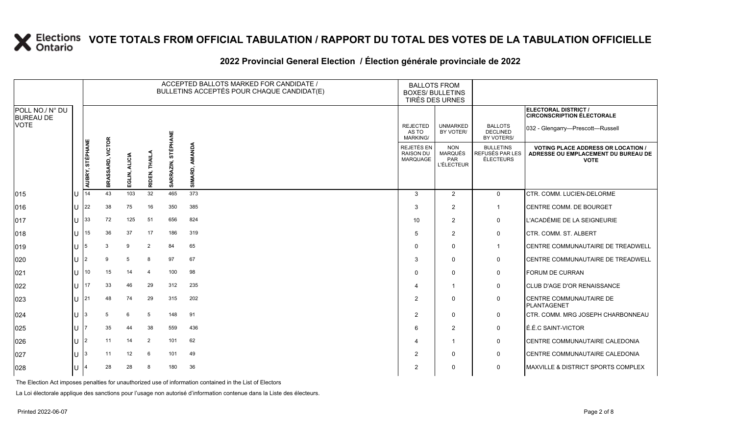### **2022 Provincial General Election / Élection générale provinciale de 2022**

|                                     |                                |                                  |                         |                        |                       | ACCEPTED BALLOTS MARKED FOR CANDIDATE /<br>BULLETINS ACCEPTÉS POUR CHAQUE CANDIDAT(E) | <b>BALLOTS FROM</b><br><b>BOXES/ BULLETINS</b><br>TIRÉS DES URNES |                                                   |                                                  |                                                                                                 |
|-------------------------------------|--------------------------------|----------------------------------|-------------------------|------------------------|-----------------------|---------------------------------------------------------------------------------------|-------------------------------------------------------------------|---------------------------------------------------|--------------------------------------------------|-------------------------------------------------------------------------------------------------|
| POLL NO./ N° DU<br><b>BUREAU DE</b> |                                |                                  |                         |                        |                       |                                                                                       |                                                                   |                                                   |                                                  | ELECTORAL DISTRICT /<br><b>CIRCONSCRIPTION ÉLECTORALE</b>                                       |
| <b>VOTE</b>                         |                                |                                  |                         |                        |                       |                                                                                       | <b>REJECTED</b><br>AS TO<br><b>MARKING/</b>                       | <b>UNMARKED</b><br>BY VOTER/                      | <b>BALLOTS</b><br><b>DECLINED</b><br>BY VOTERS/  | 032 - Glengarry-Prescott-Russell                                                                |
|                                     | AUBRY, STÉPHANE                | <b>VICTOR</b><br>SSARI<br>≵<br>≃ | <b>ALICIA</b><br>EGLIN, | <b>THAIL</b><br>RIDEN, | STÉPHANE<br>SARRAZIN, | SIMARD, AMANDA                                                                        | REJETÉS EN<br><b>RAISON DU</b><br><b>MARQUAGE</b>                 | <b>NON</b><br>MARQUÉS<br><b>PAR</b><br>L'ÉLECTEUR | <b>BULLETINS</b><br>REFUSÉS PAR LES<br>ÉLECTEURS | <b>VOTING PLACE ADDRESS OR LOCATION /</b><br>ADRESSE OU EMPLACEMENT DU BUREAU DE<br><b>VOTE</b> |
| 015                                 | $U$ 14                         | 43                               | 103                     | 32                     | 465                   | 373                                                                                   | $\mathbf{3}$                                                      | $\overline{2}$                                    | $\mathbf 0$                                      | CTR. COMM. LUCIEN-DELORME                                                                       |
| 016                                 | $\parallel$   $\parallel$   22 | 38                               | 75                      | 16                     | 350                   | 385                                                                                   | -3                                                                | 2                                                 | $\overline{1}$                                   | <b>CENTRE COMM. DE BOURGET</b>                                                                  |
| 017                                 | U 33                           | 72                               | 125                     | 51                     | 656                   | 824                                                                                   | 10                                                                | $\overline{2}$                                    | $\mathbf 0$                                      | L'ACADÉMIE DE LA SEIGNEURIE                                                                     |
| 018                                 | $\lfloor \rfloor$   15         | 36                               | 37                      | 17                     | 186                   | 319                                                                                   | 5                                                                 | 2                                                 | 0                                                | CTR. COMM. ST. ALBERT                                                                           |
| 019                                 |                                | 3                                | 9                       | $\overline{2}$         | 84                    | 65                                                                                    | $\Omega$                                                          | 0                                                 | $\overline{1}$                                   | <b>CENTRE COMMUNAUTAIRE DE TREADWELL</b>                                                        |
| 020                                 |                                | 9                                | 5                       | 8                      | 97                    | 67                                                                                    | 3                                                                 | $\Omega$                                          | $\mathbf 0$                                      | <b>ICENTRE COMMUNAUTAIRE DE TREADWELL</b>                                                       |
| 021                                 | 1110                           | 15                               | 14                      | $\overline{4}$         | 100                   | 98                                                                                    | $\mathbf 0$                                                       | $\mathbf 0$                                       | 0                                                | FORUM DE CURRAN                                                                                 |
| 022                                 | 11117                          | 33                               | 46                      | 29                     | 312                   | 235                                                                                   | $\boldsymbol{\Delta}$                                             | 1                                                 | 0                                                | <b>CLUB D'AGE D'OR RENAISSANCE</b>                                                              |
| 023                                 | $11$ 21                        | 48                               | 74                      | 29                     | 315                   | 202                                                                                   | $\overline{2}$                                                    | $\Omega$                                          | 0                                                | <b>CENTRE COMMUNAUTAIRE DE</b><br><b>PLANTAGENET</b>                                            |
| 024                                 |                                | 5                                | $6\phantom{1}6$         | 5                      | 148                   | 91                                                                                    | $\overline{2}$                                                    | $\Omega$                                          | 0                                                | CTR. COMM. MRG JOSEPH CHARBONNEAU                                                               |
| 025                                 |                                | 35                               | 44                      | 38                     | 559                   | 436                                                                                   | 6                                                                 | 2                                                 | 0                                                | É.É.C SAINT-VICTOR                                                                              |
| 026                                 |                                | 11                               | 14                      | 2                      | 101                   | 62                                                                                    | $\boldsymbol{\Delta}$                                             | 1                                                 | $\mathsf{O}$                                     | <b>ICENTRE COMMUNAUTAIRE CALEDONIA</b>                                                          |
| 027                                 |                                | 11                               | 12                      | 6                      | 101                   | 49                                                                                    | $\overline{2}$                                                    | 0                                                 | 0                                                | <b>CENTRE COMMUNAUTAIRE CALEDONIA</b>                                                           |
| 028                                 |                                | 28                               | 28                      | 8                      | 180                   | 36                                                                                    | $\overline{2}$                                                    | 0                                                 | $\mathbf 0$                                      | MAXVILLE & DISTRICT SPORTS COMPLEX                                                              |

The Election Act imposes penalties for unauthorized use of information contained in the List of Electors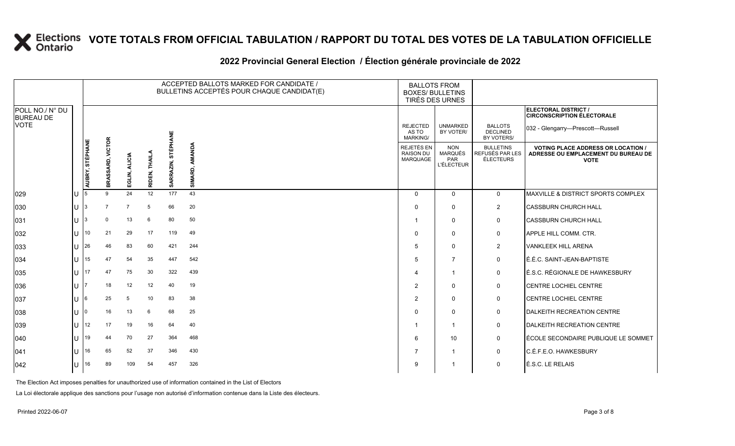### **2022 Provincial General Election / Élection générale provinciale de 2022**

|                                     |                 |                  |                |                  |                          | ACCEPTED BALLOTS MARKED FOR CANDIDATE /<br>BULLETINS ACCEPTÉS POUR CHAQUE CANDIDAT(E) | <b>BALLOTS FROM</b><br><b>BOXES/ BULLETINS</b><br>TIRÉS DES URNES |                                                          |                                                  |                                                                                                 |
|-------------------------------------|-----------------|------------------|----------------|------------------|--------------------------|---------------------------------------------------------------------------------------|-------------------------------------------------------------------|----------------------------------------------------------|--------------------------------------------------|-------------------------------------------------------------------------------------------------|
| POLL NO./ N° DU<br><b>BUREAU DE</b> |                 |                  |                |                  |                          |                                                                                       |                                                                   |                                                          |                                                  | ELECTORAL DISTRICT /<br><b>CIRCONSCRIPTION ÉLECTORALE</b>                                       |
| <b>VOTE</b>                         |                 |                  |                |                  | HANE                     |                                                                                       | <b>REJECTED</b><br>AS TO<br><b>MARKING/</b>                       | <b>UNMARKED</b><br>BY VOTER/                             | <b>BALLOTS</b><br><b>DECLINED</b><br>BY VOTERS/  | 032 - Glengarry-Prescott-Russell                                                                |
|                                     | AUBRY, STÉPHANE | BRASSARD, VICTOR | EGLIN, ALICIA  | THAIL.<br>RIDEN, | <b>STÉP</b><br>SARRAZIN, | AMANDA<br>SIMARD,                                                                     | REJETÉS EN<br><b>RAISON DU</b><br>MARQUAGE                        | <b>NON</b><br><b>MARQUÉS</b><br>PAR<br><b>L'ÉLECTEUR</b> | <b>BULLETINS</b><br>REFUSÉS PAR LES<br>ÉLECTEURS | <b>VOTING PLACE ADDRESS OR LOCATION /</b><br>ADRESSE OU EMPLACEMENT DU BUREAU DE<br><b>VOTE</b> |
| 029                                 |                 | 9                | 24             | 12               | 177                      | 43                                                                                    | $\Omega$                                                          | $\mathbf{0}$                                             | $\mathbf{0}$                                     | <b>IMAXVILLE &amp; DISTRICT SPORTS COMPLEX</b>                                                  |
| 030                                 |                 |                  | $\overline{7}$ | 5                | 66                       | 20                                                                                    | $\Omega$                                                          | $\mathbf{0}$                                             | $\overline{2}$                                   | <b>CASSBURN CHURCH HALL</b>                                                                     |
| 031                                 |                 | $\Omega$         | 13             | 6                | 80                       | 50                                                                                    | -1                                                                | 0                                                        | 0                                                | <b>CASSBURN CHURCH HALL</b>                                                                     |
| 032                                 | 10              | 21               | 29             | 17               | 119                      | 49                                                                                    | $\Omega$                                                          | $\Omega$                                                 | $\mathbf 0$                                      | <b>APPLE HILL COMM. CTR.</b>                                                                    |
| 033                                 | 26              | 46               | 83             | 60               | 421                      | 244                                                                                   | 5                                                                 | $\mathbf{0}$                                             | $\overline{2}$                                   | <b>VANKLEEK HILL ARENA</b>                                                                      |
| 034                                 | 15              | 47               | 54             | 35               | 447                      | 542                                                                                   | 5                                                                 | $\overline{7}$                                           | 0                                                | É.É.C. SAINT-JEAN-BAPTISTE                                                                      |
| 035                                 | 17              | 47               | 75             | 30               | 322                      | 439                                                                                   | $\boldsymbol{\Delta}$                                             | 1                                                        | $\mathbf 0$                                      | É.S.C. RÉGIONALE DE HAWKESBURY                                                                  |
| 036                                 |                 | 18               | 12             | 12               | 40                       | 19                                                                                    | $\overline{2}$                                                    | $\Omega$                                                 | 0                                                | <b>ICENTRE LOCHIEL CENTRE</b>                                                                   |
| 037                                 | 6               | 25               | 5              | 10               | 83                       | 38                                                                                    | $\overline{2}$                                                    | $\mathbf{0}$                                             | 0                                                | <b>CENTRE LOCHIEL CENTRE</b>                                                                    |
| 038                                 |                 | 16               | 13             | 6                | 68                       | 25                                                                                    | $\Omega$                                                          | $\mathbf 0$                                              | 0                                                | DALKEITH RECREATION CENTRE                                                                      |
| 039                                 | 12              | 17               | 19             | 16               | 64                       | 40                                                                                    |                                                                   | 1                                                        | 0                                                | DALKEITH RECREATION CENTRE                                                                      |
| 040                                 | 19              | 44               | 70             | 27               | 364                      | 468                                                                                   | 6                                                                 | 10                                                       | 0                                                | ÉCOLE SECONDAIRE PUBLIQUE LE SOMMET                                                             |
| 041                                 | 16              | 65               | 52             | 37               | 346                      | 430                                                                                   | $\overline{7}$                                                    | 1                                                        | $\mathsf{O}$                                     | IC.É.F.E.O. HAWKESBURY                                                                          |
| 042                                 | 16              | 89               | 109            | 54               | 457                      | 326                                                                                   | 9                                                                 | -1                                                       | 0                                                | É.S.C. LE RELAIS                                                                                |

The Election Act imposes penalties for unauthorized use of information contained in the List of Electors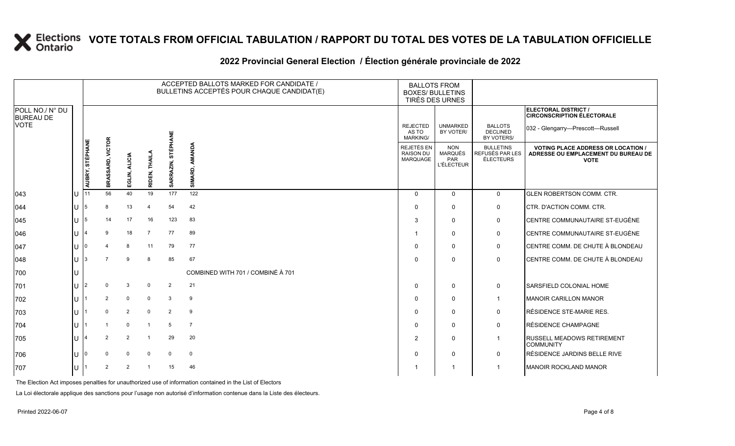### **2022 Provincial General Election / Élection générale provinciale de 2022**

|                                     |  |                 |                  |               |                |                        | ACCEPTED BALLOTS MARKED FOR CANDIDATE /<br>BULLETINS ACCEPTÉS POUR CHAQUE CANDIDAT(E) | <b>BALLOTS FROM</b><br><b>BOXES/ BULLETINS</b><br>TIRÉS DES URNES |                                                          |                                                         |                                                                                                 |
|-------------------------------------|--|-----------------|------------------|---------------|----------------|------------------------|---------------------------------------------------------------------------------------|-------------------------------------------------------------------|----------------------------------------------------------|---------------------------------------------------------|-------------------------------------------------------------------------------------------------|
| POLL NO./ N° DU<br><b>BUREAU DE</b> |  |                 |                  |               |                |                        |                                                                                       |                                                                   |                                                          |                                                         | <b>ELECTORAL DISTRICT /</b><br><b>CIRCONSCRIPTION ÉLECTORALE</b>                                |
| VOTE                                |  |                 |                  |               |                | PHANE                  |                                                                                       | <b>REJECTED</b><br>AS TO<br>MARKING/                              | <b>UNMARKED</b><br>BY VOTER/                             | <b>BALLOTS</b><br><b>DECLINED</b><br>BY VOTERS/         | 032 - Glengarry—Prescott—Russell                                                                |
|                                     |  | AUBRY, STÉPHANE | BRASSARD, VICTOR | EGLIN, ALICIA | RIDEN, THAIL.  | ii<br>STË<br>SARRAZIN, | AMANDA<br>SIMARD,                                                                     | REJETÉS EN<br><b>RAISON DU</b><br>MARQUAGE                        | <b>NON</b><br><b>MARQUÉS</b><br>PAR<br><b>L'ÉLECTEUR</b> | <b>BULLETINS</b><br>REFUSÉS PAR LES<br><b>ÉLECTEURS</b> | <b>VOTING PLACE ADDRESS OR LOCATION /</b><br>ADRESSE OU EMPLACEMENT DU BUREAU DE<br><b>VOTE</b> |
| 043                                 |  | 11              | 56               | 40            | 19             | 177                    | 122                                                                                   | $\Omega$                                                          | $\Omega$                                                 | $\mathbf 0$                                             | <b>GLEN ROBERTSON COMM. CTR.</b>                                                                |
| 044                                 |  |                 | 8                | 13            | 4              | 54                     | 42                                                                                    | $\Omega$                                                          | $\Omega$                                                 | 0                                                       | CTR. D'ACTION COMM. CTR.                                                                        |
| 045                                 |  |                 | 14               | 17            | 16             | 123                    | 83                                                                                    | 3                                                                 | $\Omega$                                                 | 0                                                       | <b>ICENTRE COMMUNAUTAIRE ST-EUGÈNE</b>                                                          |
| 046                                 |  |                 | 9                | 18            | $\overline{7}$ | 77                     | 89                                                                                    |                                                                   | $\Omega$                                                 | 0                                                       | <b>ICENTRE COMMUNAUTAIRE ST-EUGÈNE</b>                                                          |
| 047                                 |  |                 |                  | 8             | 11             | 79                     | 77                                                                                    | $\Omega$                                                          | $\Omega$                                                 | 0                                                       | CENTRE COMM. DE CHUTE À BLONDEAU                                                                |
| 048                                 |  |                 |                  | 9             | 8              | 85                     | 67                                                                                    | $\Omega$                                                          | $\Omega$                                                 | $\mathbf 0$                                             | CENTRE COMM. DE CHUTE À BLONDEAU                                                                |
| 700                                 |  |                 |                  |               |                |                        | COMBINED WITH 701 / COMBINÉ À 701                                                     |                                                                   |                                                          |                                                         |                                                                                                 |
| 701                                 |  |                 |                  | 3             | $\overline{0}$ | $\overline{2}$         | 21                                                                                    | $\Omega$                                                          | $\mathbf{0}$                                             | 0                                                       | <b>SARSFIELD COLONIAL HOME</b>                                                                  |
| 702                                 |  |                 | 2                | $\mathbf 0$   | $\overline{0}$ | 3                      | 9                                                                                     | $\Omega$                                                          | $\Omega$                                                 | $\overline{1}$                                          | <b>MANOIR CARILLON MANOR</b>                                                                    |
| 703                                 |  |                 | $\Omega$         | 2             | $\mathbf 0$    | 2                      | 9                                                                                     | $\Omega$                                                          | $\Omega$                                                 | 0                                                       | RÉSIDENCE STE-MARIE RES.                                                                        |
| 704                                 |  |                 |                  | $\Omega$      |                | 5                      | $\overline{7}$                                                                        | $\Omega$                                                          | $\Omega$                                                 | 0                                                       | <b>RÉSIDENCE CHAMPAGNE</b>                                                                      |
| 705                                 |  |                 | $\mathcal{P}$    | 2             | $\overline{1}$ | 29                     | 20                                                                                    | $\overline{2}$                                                    | $\mathbf 0$                                              | $\overline{1}$                                          | <b>RUSSELL MEADOWS RETIREMENT</b><br><b>COMMUNITY</b>                                           |
| 706                                 |  |                 |                  | $\Omega$      | $\overline{0}$ | $\mathbf 0$            | $\mathbf 0$                                                                           | $\Omega$                                                          | $\mathbf 0$                                              | $\mathbf 0$                                             | RÉSIDENCE JARDINS BELLE RIVE                                                                    |
| 707                                 |  |                 | 2                | 2             | $\overline{1}$ | 15                     | 46                                                                                    |                                                                   |                                                          |                                                         | MANOIR ROCKLAND MANOR                                                                           |

The Election Act imposes penalties for unauthorized use of information contained in the List of Electors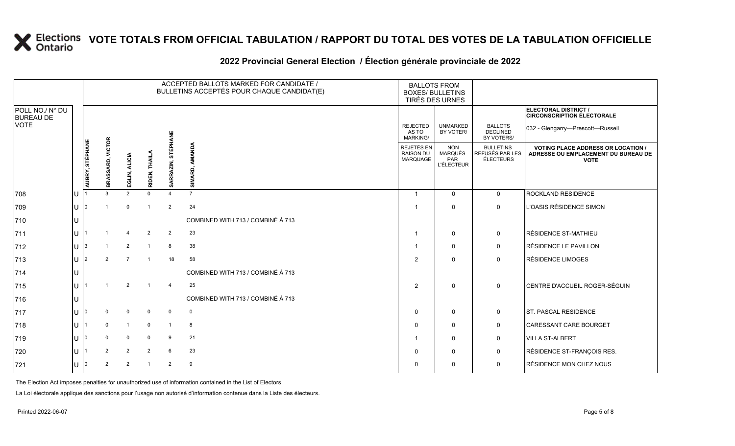### **2022 Provincial General Election / Élection générale provinciale de 2022**

|                                     |   |                 |                  |                |               |                    | ACCEPTED BALLOTS MARKED FOR CANDIDATE /<br>BULLETINS ACCEPTÉS POUR CHAQUE CANDIDAT(E) |                                                   | <b>BALLOTS FROM</b><br><b>BOXES/ BULLETINS</b><br>TIRÉS DES URNES |                                                  |                                                                                                 |
|-------------------------------------|---|-----------------|------------------|----------------|---------------|--------------------|---------------------------------------------------------------------------------------|---------------------------------------------------|-------------------------------------------------------------------|--------------------------------------------------|-------------------------------------------------------------------------------------------------|
| POLL NO./ N° DU<br><b>BUREAU DE</b> |   |                 |                  |                |               |                    |                                                                                       |                                                   |                                                                   |                                                  | ELECTORAL DISTRICT /<br><b>CIRCONSCRIPTION ÉLECTORALE</b>                                       |
| VOTE                                |   |                 |                  |                |               |                    |                                                                                       | <b>REJECTED</b><br>AS TO<br><b>MARKING/</b>       | <b>UNMARKED</b><br>BY VOTER/                                      | <b>BALLOTS</b><br><b>DECLINED</b><br>BY VOTERS/  | 032 - Glengarry—Prescott—Russell                                                                |
|                                     |   | AUBRY, STÉPHANE | BRASSARD, VICTOR | EGLIN, ALICIA  | RIDEN, THAILA | SARRAZIN, STÉPHANE | SIMARD, AMANDA                                                                        | <b>REJETÉS EN</b><br><b>RAISON DU</b><br>MARQUAGE | <b>NON</b><br>MARQUÉS<br>PAR<br>L'ÉLECTEUR                        | <b>BULLETINS</b><br>REFUSÉS PAR LES<br>ÉLECTEURS | <b>VOTING PLACE ADDRESS OR LOCATION /</b><br>ADRESSE OU EMPLACEMENT DU BUREAU DE<br><b>VOTE</b> |
| 708                                 |   |                 | 3                | $\overline{2}$ | $\Omega$      | $\Delta$           | $\overline{7}$                                                                        |                                                   | $\Omega$                                                          | $\mathbf{0}$                                     | ROCKLAND RESIDENCE                                                                              |
| 709                                 | U | 0               |                  | $\Omega$       |               | 2                  | 24                                                                                    |                                                   | $\Omega$                                                          | $\mathbf 0$                                      | L'OASIS RÉSIDENCE SIMON                                                                         |
| 710                                 |   |                 |                  |                |               |                    | COMBINED WITH 713 / COMBINÉ À 713                                                     |                                                   |                                                                   |                                                  |                                                                                                 |
| 711                                 |   |                 |                  | 4              | 2             | $\overline{2}$     | 23                                                                                    |                                                   | $\mathbf 0$                                                       | $\mathbf 0$                                      | <b>RÉSIDENCE ST-MATHIEU</b>                                                                     |
| 712                                 |   |                 |                  | 2              |               | 8                  | 38                                                                                    |                                                   | 0                                                                 | 0                                                | RÉSIDENCE LE PAVILLON                                                                           |
| 713                                 |   |                 | $\overline{2}$   | $\overline{7}$ |               | 18                 | 58                                                                                    | 2                                                 | $\mathbf 0$                                                       | $\mathbf 0$                                      | <b>RÉSIDENCE LIMOGES</b>                                                                        |
| 714                                 |   |                 |                  |                |               |                    | COMBINED WITH 713 / COMBINÉ À 713                                                     |                                                   |                                                                   |                                                  |                                                                                                 |
| 715                                 |   |                 |                  | $\overline{2}$ |               | $\overline{4}$     | 25                                                                                    | $\overline{2}$                                    | $\mathbf{0}$                                                      | $\mathbf{0}$                                     | CENTRE D'ACCUEIL ROGER-SÉGUIN                                                                   |
| 716                                 |   |                 |                  |                |               |                    | COMBINED WITH 713 / COMBINÉ À 713                                                     |                                                   |                                                                   |                                                  |                                                                                                 |
| 717                                 |   | I٥              | $\Omega$         | $\mathbf 0$    | 0             | $\mathbf 0$        | $\mathbf 0$                                                                           | $\Omega$                                          | $\mathbf 0$                                                       | $\mathbf 0$                                      | ST. PASCAL RESIDENCE                                                                            |
| 718                                 |   |                 | $\Omega$         | $\overline{1}$ | $\mathbf 0$   | $\mathbf{1}$       | 8                                                                                     | $\Omega$                                          | $\mathbf 0$                                                       | $\mathbf 0$                                      | CARESSANT CARE BOURGET                                                                          |
| 719                                 |   |                 | <sup>0</sup>     | $\mathbf 0$    | $\mathbf 0$   | 9                  | 21                                                                                    |                                                   | $\mathbf 0$                                                       | $\mathsf{O}$                                     | <b>VILLA ST-ALBERT</b>                                                                          |
| 720                                 |   |                 | $\overline{2}$   | $\overline{2}$ | 2             | 6                  | 23                                                                                    | $\Omega$                                          | 0                                                                 | $\mathsf{O}$                                     | RÉSIDENCE ST-FRANÇOIS RES.                                                                      |
| 721                                 |   |                 | $\overline{2}$   | $\overline{2}$ |               | 2                  | 9                                                                                     | $\Omega$                                          | $\mathbf 0$                                                       | $\mathbf{0}$                                     | RÉSIDENCE MON CHEZ NOUS                                                                         |

The Election Act imposes penalties for unauthorized use of information contained in the List of Electors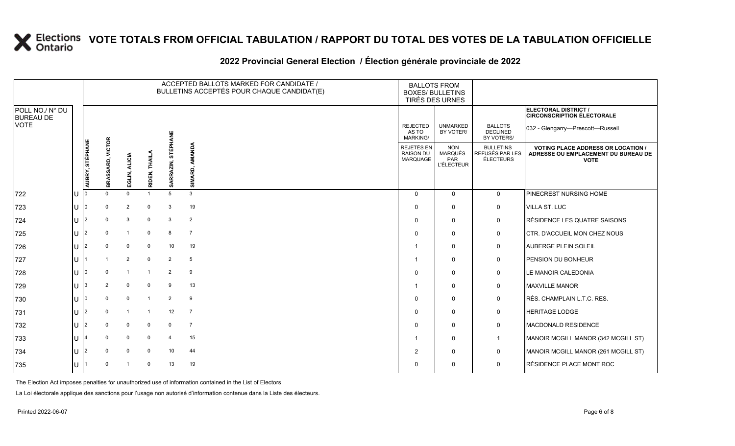### **2022 Provincial General Election / Élection générale provinciale de 2022**

|                                     |     |                 |                  |                |                         |                      | ACCEPTED BALLOTS MARKED FOR CANDIDATE /<br>BULLETINS ACCEPTÉS POUR CHAQUE CANDIDAT(E) | <b>BALLOTS FROM</b><br><b>BOXES/ BULLETINS</b><br>TIRÉS DES URNES |                                                          |                                                  |                                                                                                 |
|-------------------------------------|-----|-----------------|------------------|----------------|-------------------------|----------------------|---------------------------------------------------------------------------------------|-------------------------------------------------------------------|----------------------------------------------------------|--------------------------------------------------|-------------------------------------------------------------------------------------------------|
| POLL NO./ N° DU<br><b>BUREAU DE</b> |     |                 |                  |                |                         |                      |                                                                                       |                                                                   |                                                          |                                                  | ELECTORAL DISTRICT /<br><b>CIRCONSCRIPTION ÉLECTORALE</b>                                       |
| <b>VOTE</b>                         |     |                 |                  |                |                         | HANE                 |                                                                                       | <b>REJECTED</b><br>AS TO<br><b>MARKING/</b>                       | <b>UNMARKED</b><br>BY VOTER/                             | <b>BALLOTS</b><br><b>DECLINED</b><br>BY VOTERS/  | 032 - Glengarry-Prescott-Russell                                                                |
|                                     |     | AUBRY, STÉPHANE | BRASSARD, VICTOR | EGLIN, ALICIA  | <b>THAILA</b><br>RIDEN, | 5T<br>5<br>SARRAZIN, | AMANDA<br>SIMARD,                                                                     | REJETÉS EN<br><b>RAISON DU</b><br>MARQUAGE                        | <b>NON</b><br><b>MARQUÉS</b><br>PAR<br><b>L'ÉLECTEUR</b> | <b>BULLETINS</b><br>REFUSÉS PAR LES<br>ÉLECTEURS | <b>VOTING PLACE ADDRESS OR LOCATION /</b><br>ADRESSE OU EMPLACEMENT DU BUREAU DE<br><b>VOTE</b> |
| 722                                 | lU  |                 | $\Omega$         | $\Omega$       |                         | 5                    | 3                                                                                     | $\mathbf{0}$                                                      | $\Omega$                                                 | $\mathsf{O}$                                     | PINECREST NURSING HOME                                                                          |
| 723                                 | IU  | 0               | $\Omega$         | $\overline{2}$ | $\mathbf 0$             | 3                    | 19                                                                                    | $\Omega$                                                          | $\mathbf 0$                                              | 0                                                | <b>VILLA ST. LUC</b>                                                                            |
| 724                                 | lU. | $\overline{2}$  | $\Omega$         | 3              | $\overline{0}$          | $\mathbf{3}$         | $\overline{2}$                                                                        | $\Omega$                                                          | $\mathbf 0$                                              | $\mathbf 0$                                      | RÉSIDENCE LES QUATRE SAISONS                                                                    |
| 725                                 | IU. | $\overline{2}$  | $\mathbf 0$      | $\overline{1}$ | $\mathbf 0$             | 8                    | $\overline{7}$                                                                        | $\Omega$                                                          | $\Omega$                                                 | 0                                                | CTR. D'ACCUEIL MON CHEZ NOUS                                                                    |
| 726                                 | ΙU  | $\overline{2}$  | $\Omega$         | 0              | $\mathbf 0$             | 10                   | 19                                                                                    |                                                                   | $\mathbf 0$                                              | 0                                                | <b>AUBERGE PLEIN SOLEIL</b>                                                                     |
| 727                                 | lU. |                 |                  | $\overline{2}$ | $\mathbf 0$             | $\overline{2}$       | $5\phantom{.0}$                                                                       |                                                                   | $\mathbf 0$                                              | 0                                                | <b>PENSION DU BONHEUR</b>                                                                       |
| 728                                 | ΙU  | 0               | $\Omega$         | $\overline{1}$ | $\overline{1}$          | 2                    | 9                                                                                     | $\Omega$                                                          | $\Omega$                                                 | $\mathsf{O}$                                     | LE MANOIR CALEDONIA                                                                             |
| 729                                 | lU  | 3               | $\overline{2}$   | 0              | $\mathbf 0$             | 9                    | 13                                                                                    |                                                                   | $\mathbf 0$                                              | 0                                                | <b>MAXVILLE MANOR</b>                                                                           |
| 730                                 | ΙU  | 0               | $\Omega$         | 0              | $\overline{1}$          | $\overline{2}$       | 9                                                                                     | $\Omega$                                                          | $\mathbf 0$                                              | 0                                                | RÉS. CHAMPLAIN L.T.C. RES.                                                                      |
| 731                                 | lU. | $\overline{2}$  | $\Omega$         | $\overline{1}$ | $\overline{1}$          | 12                   | $\overline{7}$                                                                        | $\Omega$                                                          | $\Omega$                                                 | $\mathsf{O}$                                     | <b>HERITAGE LODGE</b>                                                                           |
| 732                                 | IU. | $\overline{2}$  | $\Omega$         | $\mathbf 0$    | $\mathbf 0$             | $\mathbf 0$          | $\overline{7}$                                                                        | $\Omega$                                                          | $\mathbf 0$                                              | 0                                                | MACDONALD RESIDENCE                                                                             |
| 733                                 | ΙU  |                 | $\Omega$         | $\mathbf 0$    | 0                       | $\overline{4}$       | 15                                                                                    |                                                                   | $\mathbf 0$                                              | $\overline{1}$                                   | MANOIR MCGILL MANOR (342 MCGILL ST)                                                             |
| 734                                 | lU. | 2               | $\Omega$         | $\mathbf 0$    | $\mathbf 0$             | 10                   | 44                                                                                    | $\overline{2}$                                                    | $\mathbf 0$                                              | $\mathsf{O}$                                     | MANOIR MCGILL MANOR (261 MCGILL ST)                                                             |
| 735                                 | lU. |                 | $\Omega$         | $\overline{1}$ | $\overline{0}$          | 13                   | 19                                                                                    | 0                                                                 | $\mathbf 0$                                              | $\mathbf 0$                                      | RÉSIDENCE PLACE MONT ROC                                                                        |

The Election Act imposes penalties for unauthorized use of information contained in the List of Electors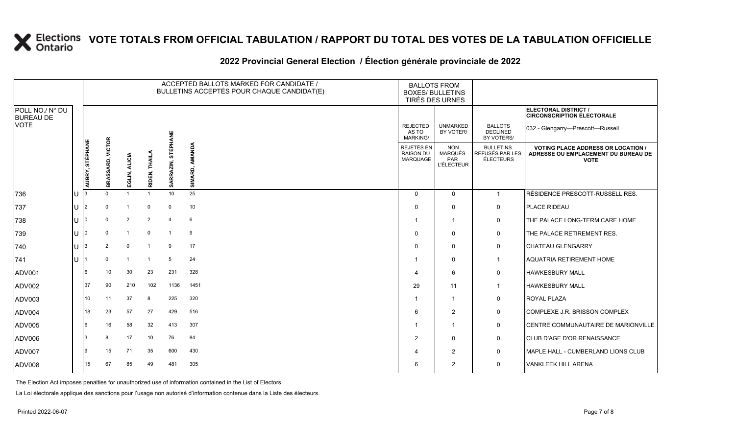#### **2022 Provincial General Election / Élection générale provinciale de 2022**

|                                     |                 |                            |                |                        | ACCEPTED BALLOTS MARKED FOR CANDIDATE /<br>BULLETINS ACCEPTÉS POUR CHAQUE CANDIDAT(E) |                   |                                             | <b>BALLOTS FROM</b><br><b>BOXES/ BULLETINS</b><br>TIRÉS DES URNES |                                                  |                                                                                               |
|-------------------------------------|-----------------|----------------------------|----------------|------------------------|---------------------------------------------------------------------------------------|-------------------|---------------------------------------------|-------------------------------------------------------------------|--------------------------------------------------|-----------------------------------------------------------------------------------------------|
| POLL NO./ N° DU<br><b>BUREAU DE</b> |                 |                            |                |                        |                                                                                       |                   |                                             |                                                                   |                                                  | <b>ELECTORAL DISTRICT /</b><br><b>CIRCONSCRIPTION ÉLECTORALE</b>                              |
| <b>VOTE</b>                         |                 |                            |                |                        |                                                                                       |                   | <b>REJECTED</b><br>AS TO<br><b>MARKING/</b> | <b>UNMARKED</b><br>BY VOTER/                                      | <b>BALLOTS</b><br><b>DECLINED</b><br>BY VOTERS/  | 032 - Glengarry-Prescott-Russell                                                              |
|                                     | AUBRY, STÉPHANE | <b>VICTOR</b><br>BRASSARD, | EGLIN, ALICIA  | <b>THAIL</b><br>RIDEN, | <b>STÉPHANE</b><br>SARRAZIN,                                                          | AMANDA<br>SIMARD, | REJETÉS EN<br><b>RAISON DU</b><br>MARQUAGE  | <b>NON</b><br><b>MARQUÉS</b><br>PAR<br><b>L'ÉLECTEUR</b>          | <b>BULLETINS</b><br>REFUSÉS PAR LES<br>ÉLECTEURS | <b>VOTING PLACE ADDRESS OR LOCATION</b><br>ADRESSE OU EMPLACEMENT DU BUREAU DE<br><b>VOTE</b> |
| 736                                 |                 | $\Omega$                   |                |                        | 10                                                                                    | 25                | $\Omega$                                    | $\Omega$                                                          | $\mathbf{1}$                                     | RÉSIDENCE PRESCOTT-RUSSELL RES.                                                               |
| 737                                 |                 | $\Omega$                   |                | $\Omega$               | $\mathbf 0$                                                                           | 10                | $\Omega$                                    | $\Omega$                                                          | 0                                                | <b>PLACE RIDEAU</b>                                                                           |
| 738                                 |                 | U                          | $\overline{2}$ | 2                      | $\overline{4}$                                                                        | 6                 | $\overline{1}$                              |                                                                   | $\mathbf 0$                                      | THE PALACE LONG-TERM CARE HOME                                                                |
| 739                                 |                 | $\Omega$                   | $\overline{1}$ | $\mathbf 0$            | $\mathbf{1}$                                                                          | 9                 | $\Omega$                                    | $\Omega$                                                          | $\mathsf{O}$                                     | THE PALACE RETIREMENT RES.                                                                    |
| 740                                 |                 | 2                          | $\mathbf 0$    |                        | 9                                                                                     | 17                | $\Omega$                                    | $\Omega$                                                          | $\mathbf 0$                                      | <b>CHATEAU GLENGARRY</b>                                                                      |
| 741                                 |                 | $\Omega$                   |                |                        | 5                                                                                     | 24                | $\overline{\mathbf{1}}$                     | 0                                                                 | $\mathbf{1}$                                     | <b>AQUATRIA RETIREMENT HOME</b>                                                               |
| ADV001                              |                 | 10                         | 30             | 23                     | 231                                                                                   | 328               | $\overline{\mathcal{A}}$                    | 6                                                                 | 0                                                | <b>HAWKESBURY MALL</b>                                                                        |
| ADV002                              | 37              | 90                         | 210            | 102                    | 1136                                                                                  | 1451              | 29                                          | 11                                                                | $\mathbf 1$                                      | <b>HAWKESBURY MALL</b>                                                                        |
| ADV003                              | 10              | 11                         | 37             | 8                      | 225                                                                                   | 320               | $\overline{1}$                              |                                                                   | $\mathsf{O}$                                     | <b>ROYAL PLAZA</b>                                                                            |
| ADV004                              | 18              | 23                         | 57             | 27                     | 429                                                                                   | 516               | 6                                           | $\overline{2}$                                                    | $\mathbf 0$                                      | COMPLEXE J.R. BRISSON COMPLEX                                                                 |
| ADV005                              |                 | 16                         | 58             | 32                     | 413                                                                                   | 307               | -1                                          |                                                                   | $\mathsf{O}$                                     | CENTRE COMMUNAUTAIRE DE MARIONVILLE                                                           |
| ADV006                              |                 | 8                          | 17             | 10                     | 76                                                                                    | 84                | $\overline{2}$                              | 0                                                                 | 0                                                | CLUB D'AGE D'OR RENAISSANCE                                                                   |
| ADV007                              |                 | 15                         | 71             | 35                     | 600                                                                                   | 430               | $\overline{A}$                              | $\overline{2}$                                                    | $\mathbf 0$                                      | MAPLE HALL - CUMBERLAND LIONS CLUB                                                            |
| ADV008                              | 15              | 67                         | 85             | 49                     | 481                                                                                   | 305               | 6                                           | $\overline{2}$                                                    | $\mathbf 0$                                      | <b>VANKLEEK HILL ARENA</b>                                                                    |

The Election Act imposes penalties for unauthorized use of information contained in the List of Electors